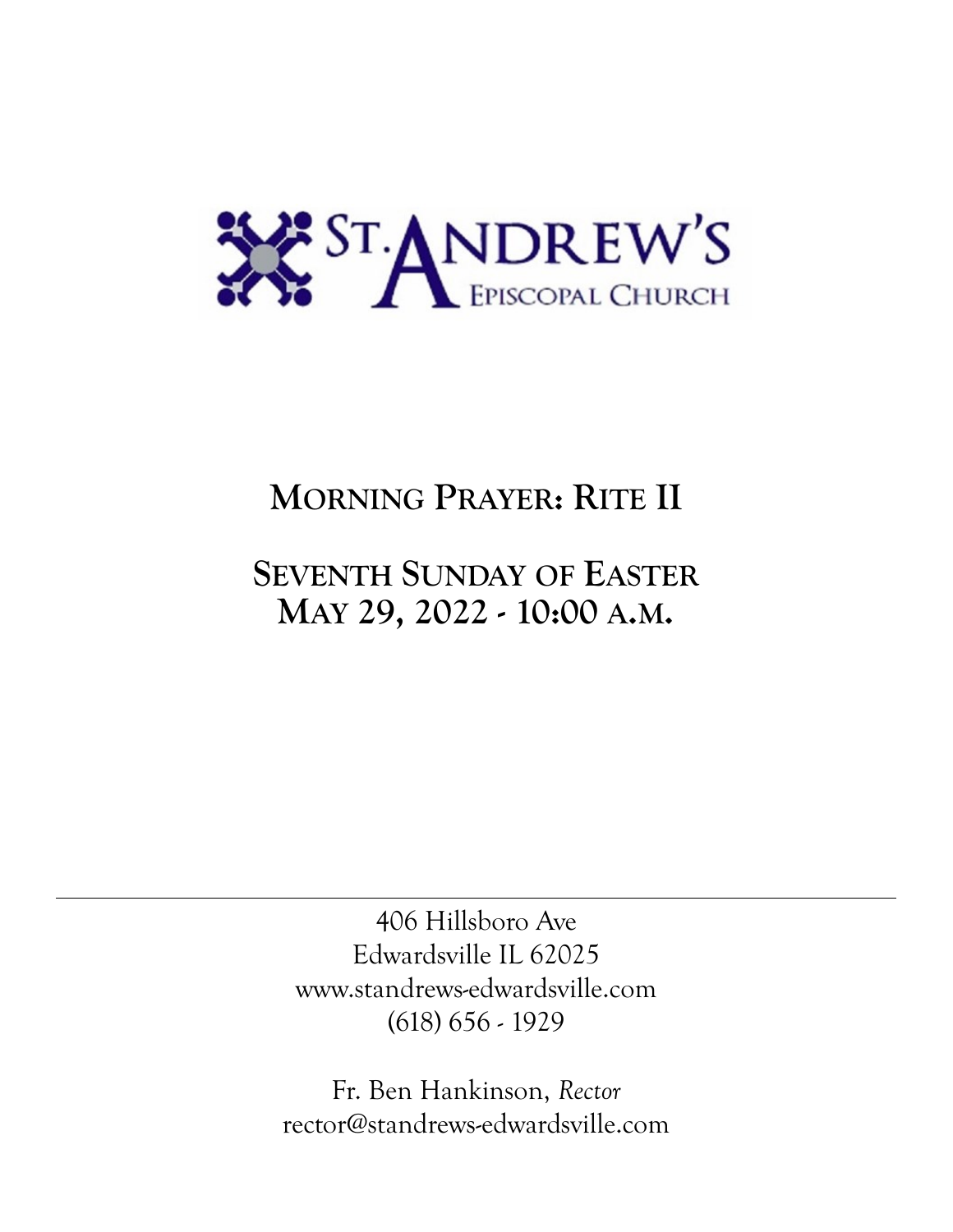

# **MORNING PRAYER: RITE II**

# **SEVENTH SUNDAY OF EASTER MAY 29, 2022 - 10:00 A.M.**

406 Hillsboro Ave Edwardsville IL 62025 www.standrews-edwardsville.com (618) 656 - 1929

Fr. Ben Hankinson, *Rector*  rector@standrews-edwardsville.com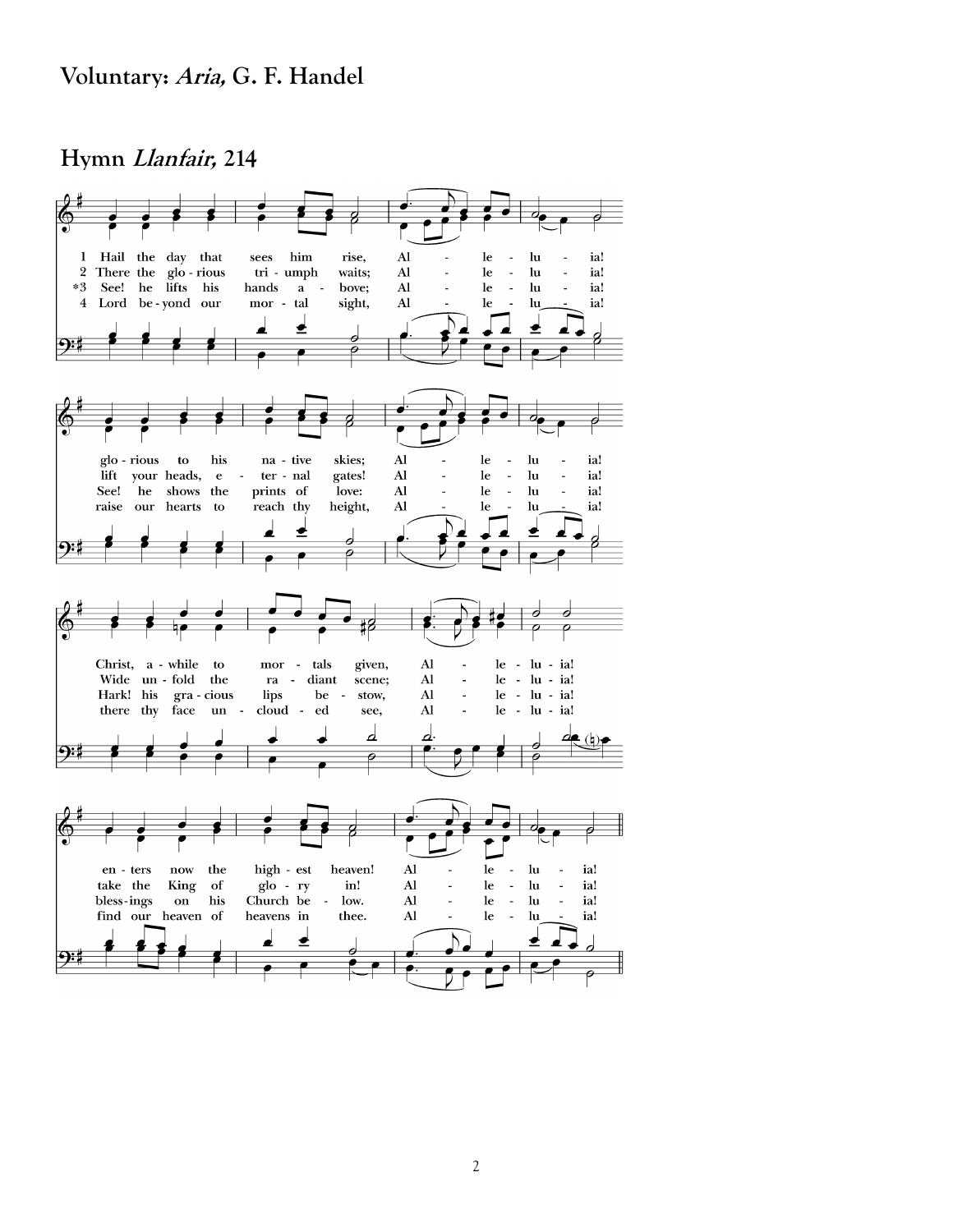## **Voluntary: Aria, G. F. Handel**

# **Hymn Llanfair, 214**

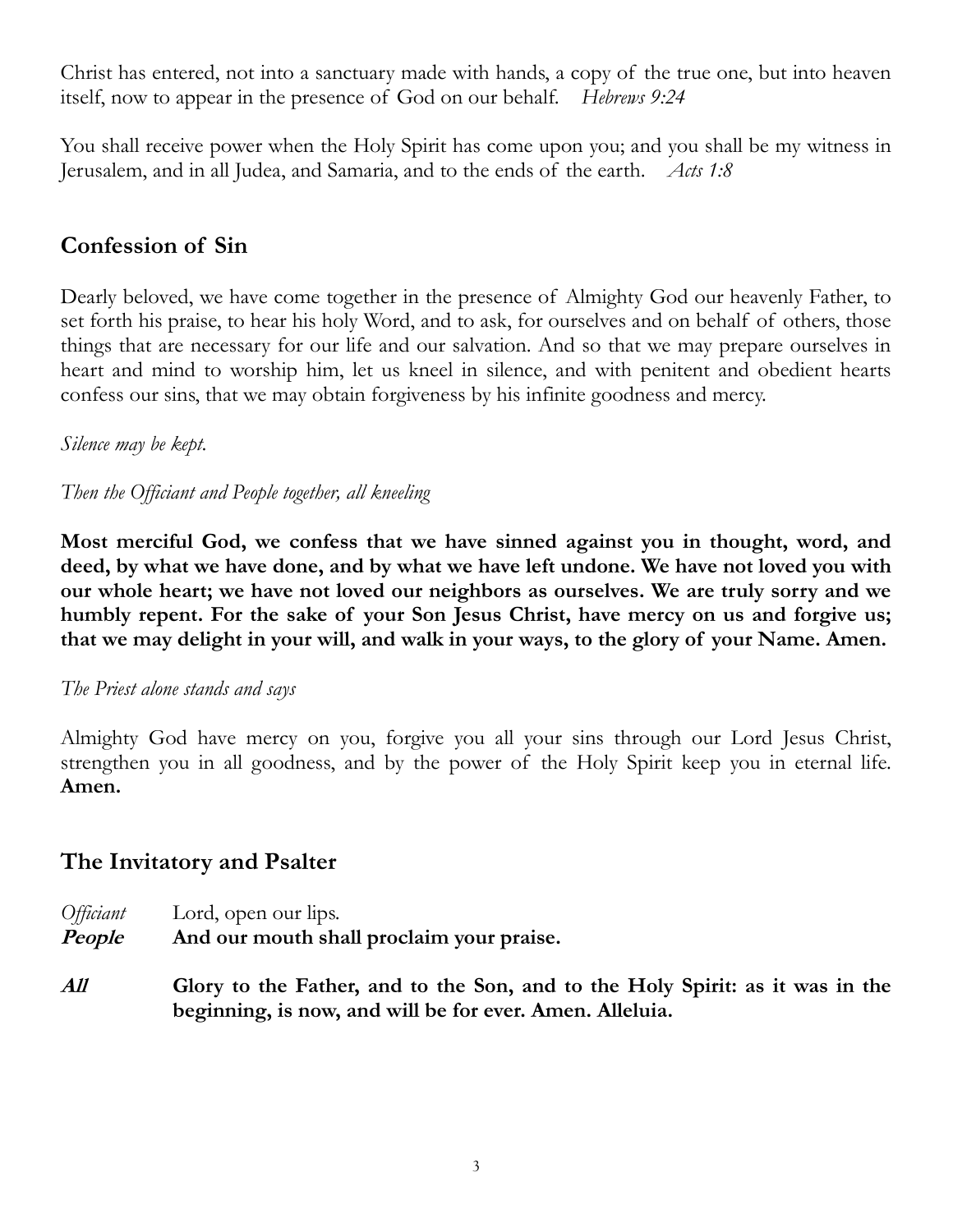Christ has entered, not into a sanctuary made with hands, a copy of the true one, but into heaven itself, now to appear in the presence of God on our behalf. *Hebrews 9:24*

You shall receive power when the Holy Spirit has come upon you; and you shall be my witness in Jerusalem, and in all Judea, and Samaria, and to the ends of the earth. *Acts 1:8*

# **Confession of Sin**

Dearly beloved, we have come together in the presence of Almighty God our heavenly Father, to set forth his praise, to hear his holy Word, and to ask, for ourselves and on behalf of others, those things that are necessary for our life and our salvation. And so that we may prepare ourselves in heart and mind to worship him, let us kneel in silence, and with penitent and obedient hearts confess our sins, that we may obtain forgiveness by his infinite goodness and mercy.

*Silence may be kept.* 

*Then the Officiant and People together, all kneeling* 

**Most merciful God, we confess that we have sinned against you in thought, word, and deed, by what we have done, and by what we have left undone. We have not loved you with our whole heart; we have not loved our neighbors as ourselves. We are truly sorry and we humbly repent. For the sake of your Son Jesus Christ, have mercy on us and forgive us; that we may delight in your will, and walk in your ways, to the glory of your Name. Amen.**

#### *The Priest alone stands and says*

Almighty God have mercy on you, forgive you all your sins through our Lord Jesus Christ, strengthen you in all goodness, and by the power of the Holy Spirit keep you in eternal life. **Amen.**

#### **The Invitatory and Psalter**

| Officiant<br>Lord, open our lips. |  |
|-----------------------------------|--|
|-----------------------------------|--|

- **People And our mouth shall proclaim your praise.**
- **All Glory to the Father, and to the Son, and to the Holy Spirit: as it was in the beginning, is now, and will be for ever. Amen. Alleluia.**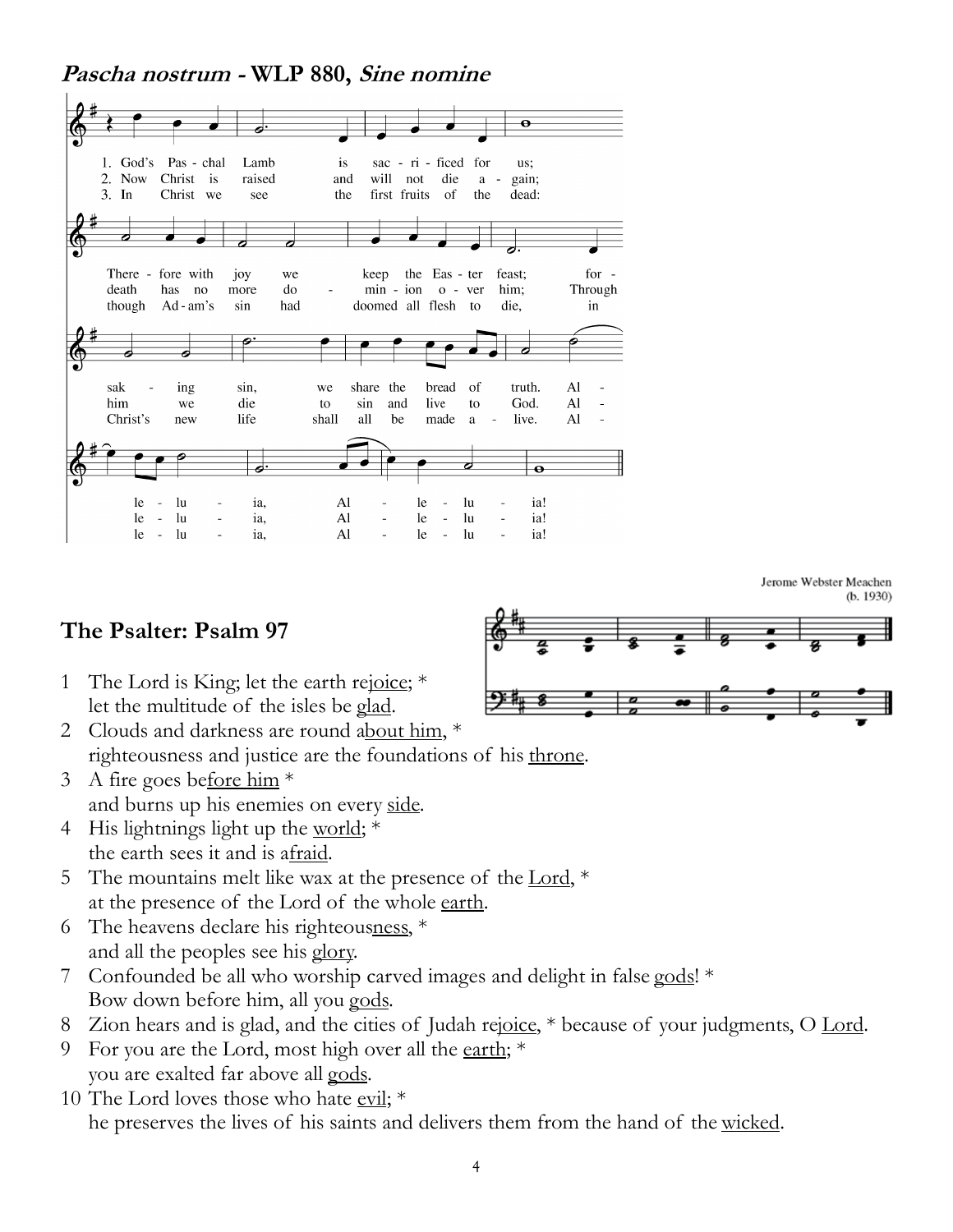# **Pascha nostrum - WLP 880, Sine nomine**



Jerome Webster Meachen  $(b. 1930)$ 

# **The Psalter: Psalm 97**

- 1 The Lord is King; let the earth rejoice; \* let the multitude of the isles be glad.
- 2 Clouds and darkness are round about him,  $*$ righteousness and justice are the foundations of his throne.
- 3 A fire goes before him \* and burns up his enemies on every side.
- 4 His lightnings light up the world; \* the earth sees it and is afraid.
- 5 The mountains melt like wax at the presence of the Lord,  $*$ at the presence of the Lord of the whole earth.
- 6 The heavens declare his righteousness, \* and all the peoples see his glory.
- 7 Confounded be all who worship carved images and delight in false gods! \* Bow down before him, all you gods.
- 8 Zion hears and is glad, and the cities of Judah rejoice, \* because of your judgments, O Lord.
- 9 For you are the Lord, most high over all the earth; \* you are exalted far above all gods.
- 10 The Lord loves those who hate evil;  $*$ he preserves the lives of his saints and delivers them from the hand of the wicked.

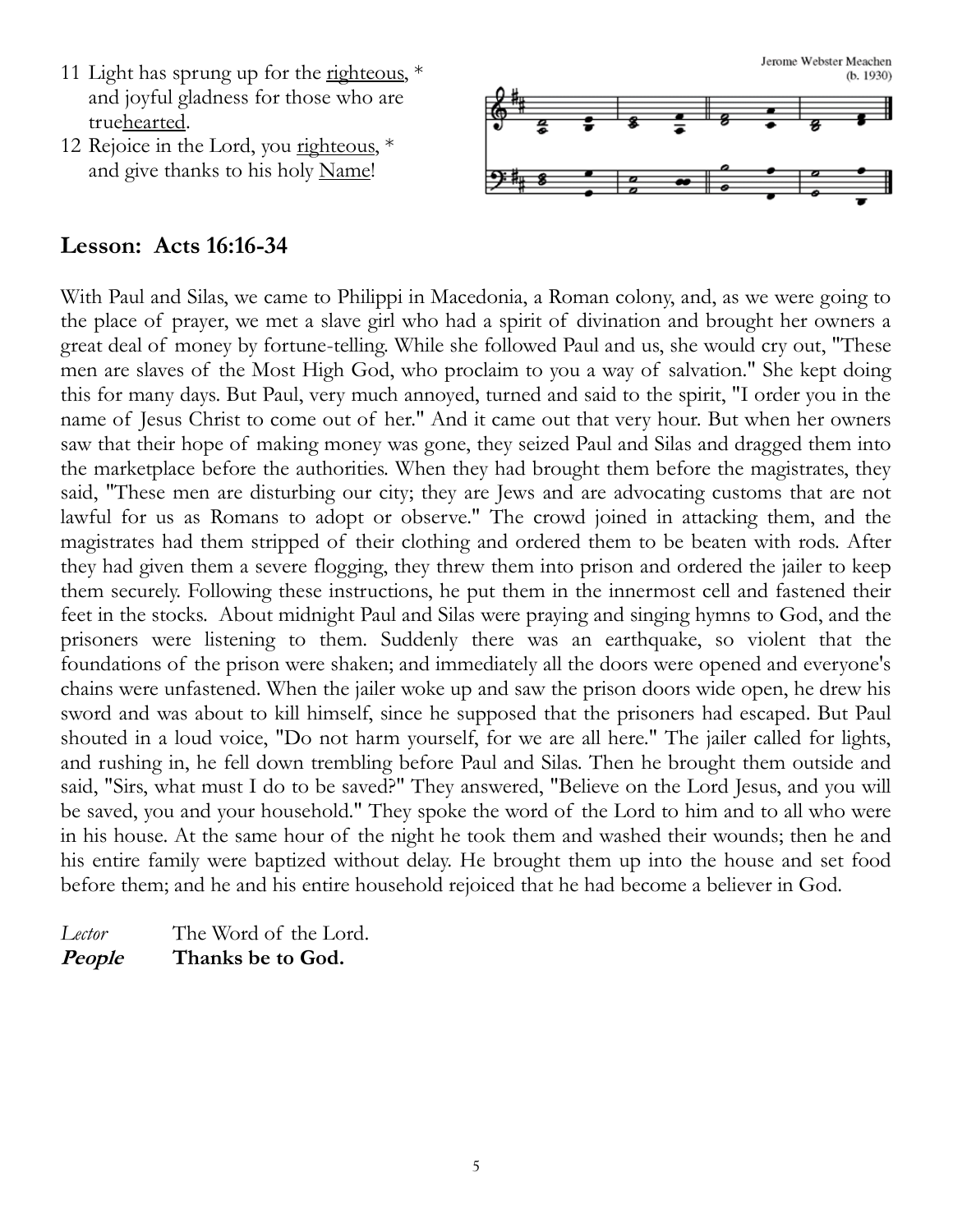- 11 Light has sprung up for the righteous,  $*$ and joyful gladness for those who are truehearted.
- 12 Rejoice in the Lord, you righteous, \* and give thanks to his holy Name!



## **Lesson: Acts 16:16-34**

With Paul and Silas, we came to Philippi in Macedonia, a Roman colony, and, as we were going to the place of prayer, we met a slave girl who had a spirit of divination and brought her owners a great deal of money by fortune-telling. While she followed Paul and us, she would cry out, "These men are slaves of the Most High God, who proclaim to you a way of salvation." She kept doing this for many days. But Paul, very much annoyed, turned and said to the spirit, "I order you in the name of Jesus Christ to come out of her." And it came out that very hour. But when her owners saw that their hope of making money was gone, they seized Paul and Silas and dragged them into the marketplace before the authorities. When they had brought them before the magistrates, they said, "These men are disturbing our city; they are Jews and are advocating customs that are not lawful for us as Romans to adopt or observe." The crowd joined in attacking them, and the magistrates had them stripped of their clothing and ordered them to be beaten with rods. After they had given them a severe flogging, they threw them into prison and ordered the jailer to keep them securely. Following these instructions, he put them in the innermost cell and fastened their feet in the stocks. About midnight Paul and Silas were praying and singing hymns to God, and the prisoners were listening to them. Suddenly there was an earthquake, so violent that the foundations of the prison were shaken; and immediately all the doors were opened and everyone's chains were unfastened. When the jailer woke up and saw the prison doors wide open, he drew his sword and was about to kill himself, since he supposed that the prisoners had escaped. But Paul shouted in a loud voice, "Do not harm yourself, for we are all here." The jailer called for lights, and rushing in, he fell down trembling before Paul and Silas. Then he brought them outside and said, "Sirs, what must I do to be saved?" They answered, "Believe on the Lord Jesus, and you will be saved, you and your household." They spoke the word of the Lord to him and to all who were in his house. At the same hour of the night he took them and washed their wounds; then he and his entire family were baptized without delay. He brought them up into the house and set food before them; and he and his entire household rejoiced that he had become a believer in God.

*Lector* The Word of the Lord. **People Thanks be to God.**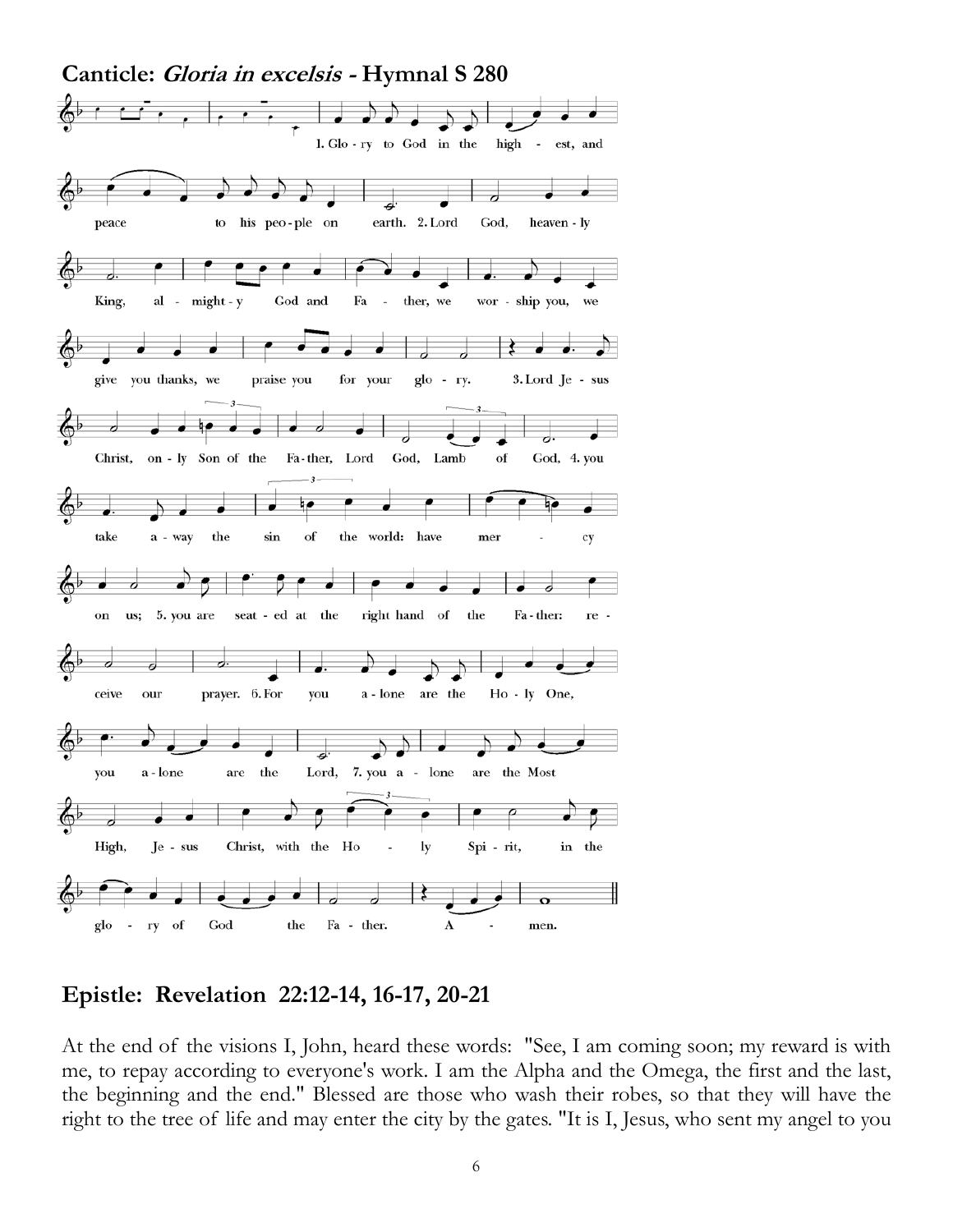

# **Epistle: Revelation 22:12-14, 16-17, 20-21**

At the end of the visions I, John, heard these words: "See, I am coming soon; my reward is with me, to repay according to everyone's work. I am the Alpha and the Omega, the first and the last, the beginning and the end." Blessed are those who wash their robes, so that they will have the right to the tree of life and may enter the city by the gates. "It is I, Jesus, who sent my angel to you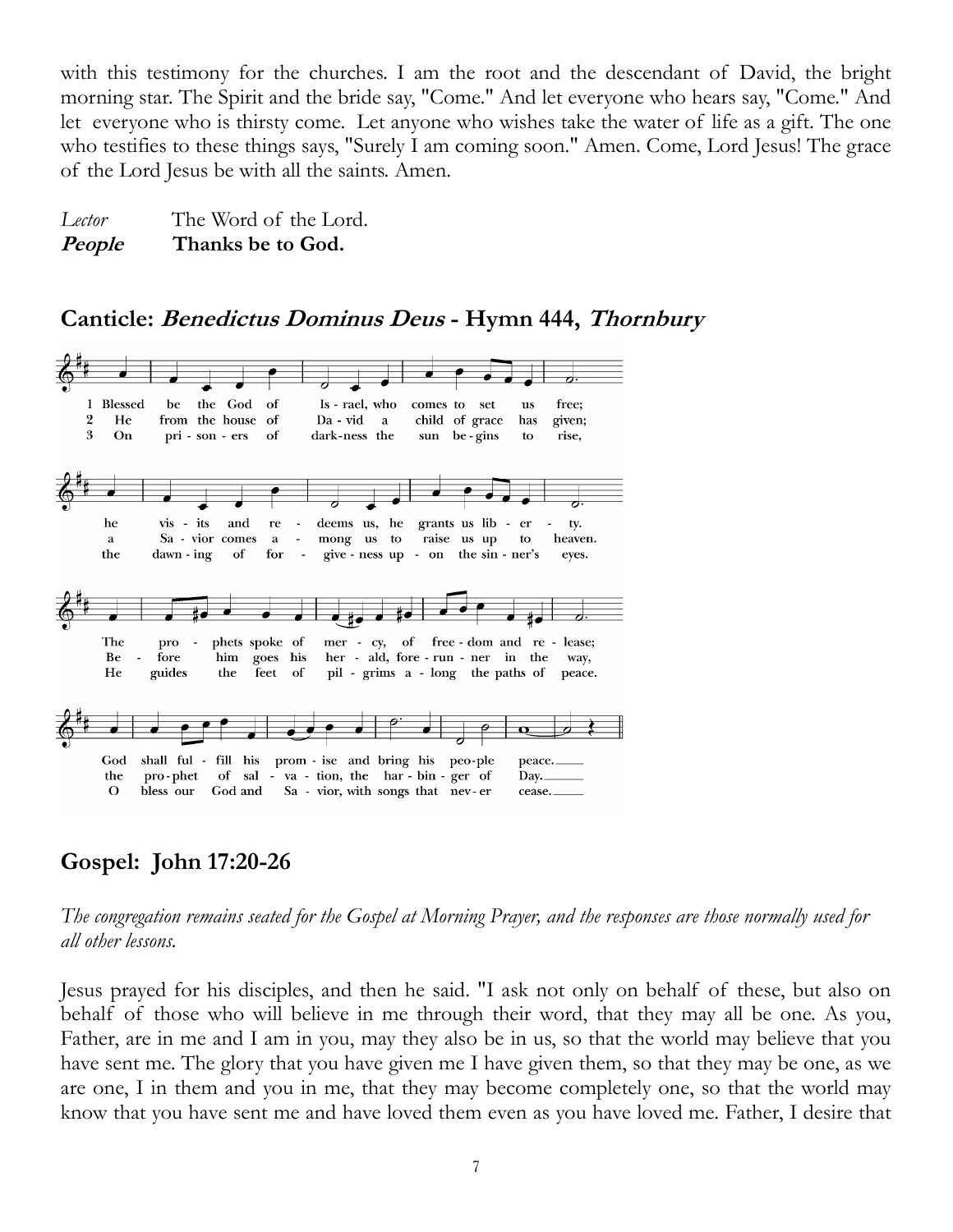with this testimony for the churches. I am the root and the descendant of David, the bright morning star. The Spirit and the bride say, "Come." And let everyone who hears say, "Come." And let everyone who is thirsty come. Let anyone who wishes take the water of life as a gift. The one who testifies to these things says, "Surely I am coming soon." Amen. Come, Lord Jesus! The grace of the Lord Jesus be with all the saints. Amen.

*Lector* The Word of the Lord. **People Thanks be to God.**

# **Canticle: Benedictus Dominus Deus - Hymn 444, Thornbury**



# **Gospel: John 17:20-26**

*The congregation remains seated for the Gospel at Morning Prayer, and the responses are those normally used for all other lessons.* 

Jesus prayed for his disciples, and then he said. "I ask not only on behalf of these, but also on behalf of those who will believe in me through their word, that they may all be one. As you, Father, are in me and I am in you, may they also be in us, so that the world may believe that you have sent me. The glory that you have given me I have given them, so that they may be one, as we are one, I in them and you in me, that they may become completely one, so that the world may know that you have sent me and have loved them even as you have loved me. Father, I desire that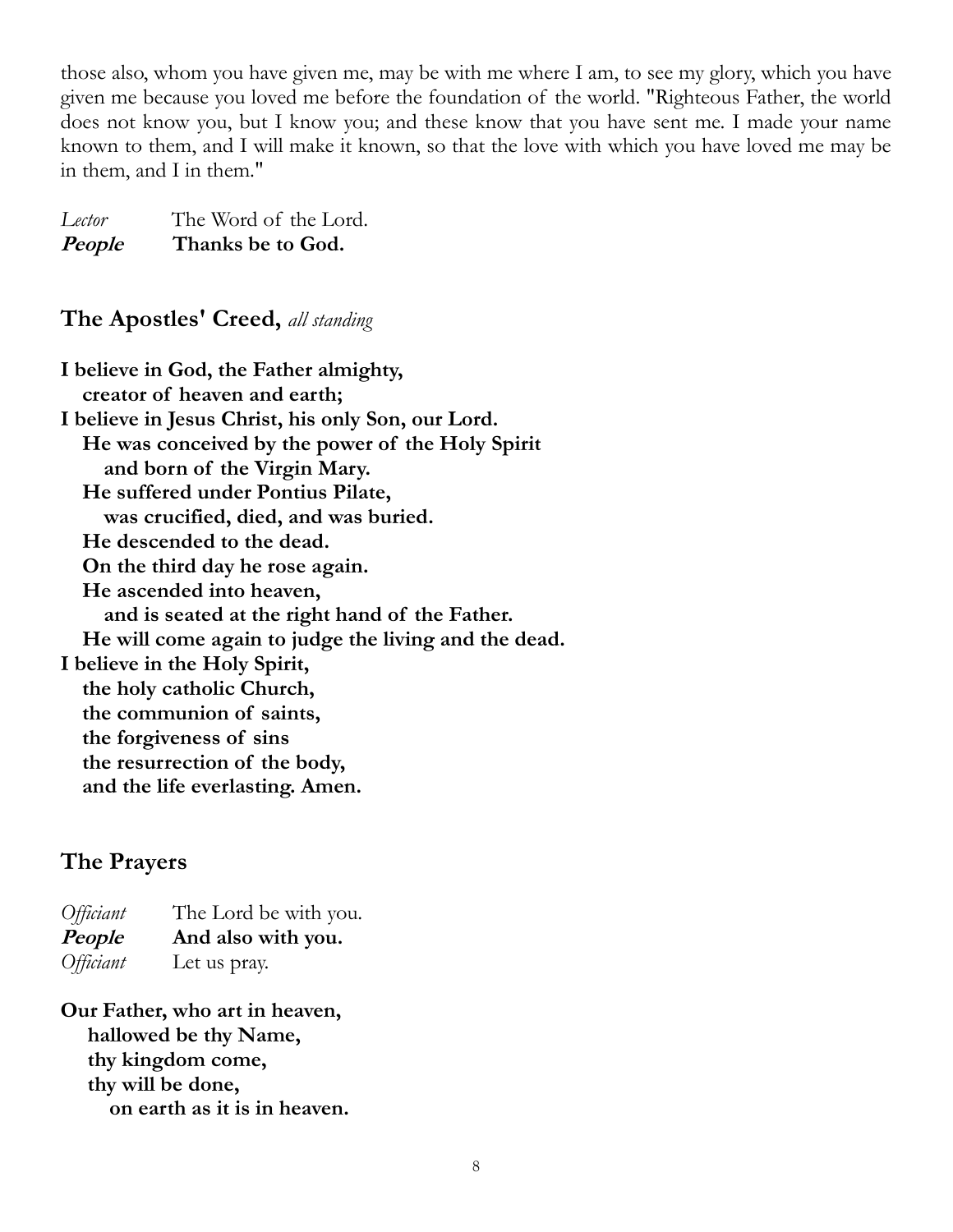those also, whom you have given me, may be with me where I am, to see my glory, which you have given me because you loved me before the foundation of the world. "Righteous Father, the world does not know you, but I know you; and these know that you have sent me. I made your name known to them, and I will make it known, so that the love with which you have loved me may be in them, and I in them."

| Lector | The Word of the Lord. |
|--------|-----------------------|
| People | Thanks be to God.     |

#### **The Apostles' Creed,** *all standing*

**I believe in God, the Father almighty, creator of heaven and earth; I believe in Jesus Christ, his only Son, our Lord. He was conceived by the power of the Holy Spirit and born of the Virgin Mary. He suffered under Pontius Pilate, was crucified, died, and was buried. He descended to the dead. On the third day he rose again. He ascended into heaven, and is seated at the right hand of the Father. He will come again to judge the living and the dead. I believe in the Holy Spirit, the holy catholic Church, the communion of saints, the forgiveness of sins the resurrection of the body, and the life everlasting. Amen.**

#### **The Prayers**

| Officiant | The Lord be with you. |
|-----------|-----------------------|
| People    | And also with you.    |
| Officiant | Let us pray.          |

**Our Father, who art in heaven, hallowed be thy Name, thy kingdom come, thy will be done, on earth as it is in heaven.**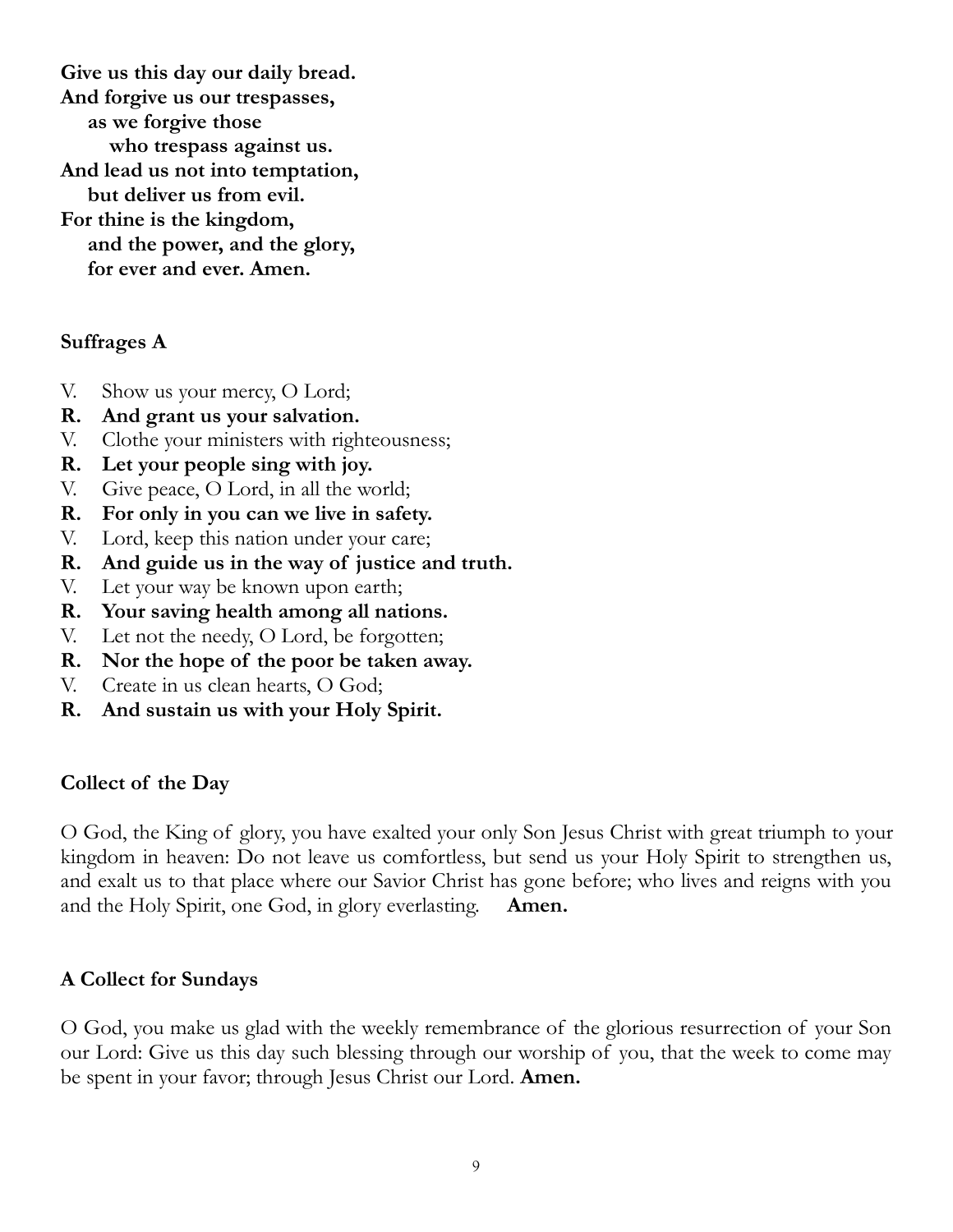**Give us this day our daily bread. And forgive us our trespasses, as we forgive those who trespass against us. And lead us not into temptation, but deliver us from evil. For thine is the kingdom, and the power, and the glory, for ever and ever. Amen.** 

#### **Suffrages A**

- V. Show us your mercy, O Lord;
- **R. And grant us your salvation.**
- V. Clothe your ministers with righteousness;
- **R. Let your people sing with joy.**
- V. Give peace, O Lord, in all the world;
- **R. For only in you can we live in safety.**
- V. Lord, keep this nation under your care;
- **R. And guide us in the way of justice and truth.**
- V. Let your way be known upon earth;
- **R. Your saving health among all nations.**
- V. Let not the needy, O Lord, be forgotten;
- **R. Nor the hope of the poor be taken away.**
- V. Create in us clean hearts, O God;
- **R. And sustain us with your Holy Spirit.**

#### **Collect of the Day**

O God, the King of glory, you have exalted your only Son Jesus Christ with great triumph to your kingdom in heaven: Do not leave us comfortless, but send us your Holy Spirit to strengthen us, and exalt us to that place where our Savior Christ has gone before; who lives and reigns with you and the Holy Spirit, one God, in glory everlasting. **Amen.**

#### **A Collect for Sundays**

O God, you make us glad with the weekly remembrance of the glorious resurrection of your Son our Lord: Give us this day such blessing through our worship of you, that the week to come may be spent in your favor; through Jesus Christ our Lord. **Amen.**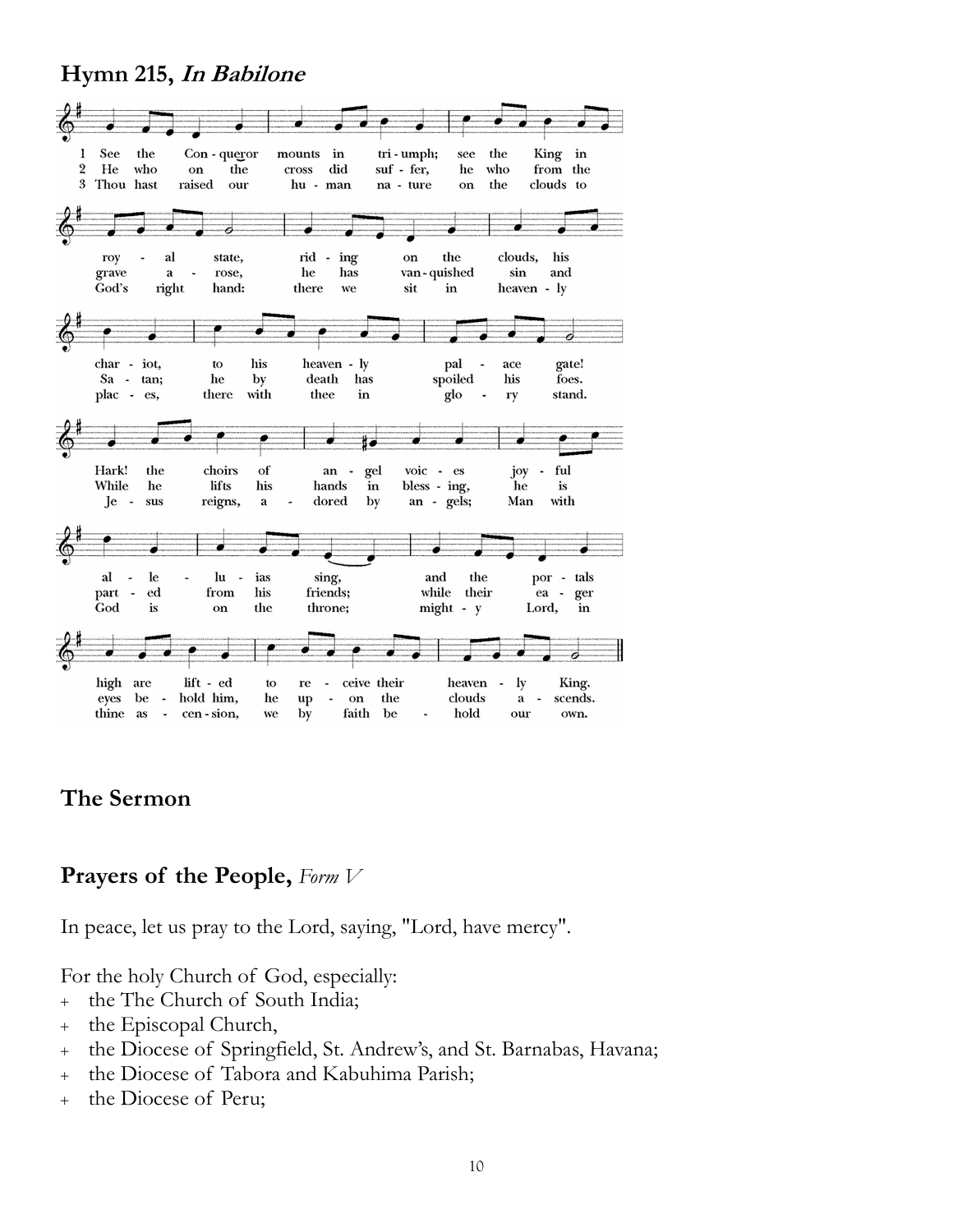# **Hymn 215, In Babilone**



# **The Sermon**

## **Prayers of the People,** *Form V*

In peace, let us pray to the Lord, saying, "Lord, have mercy".

For the holy Church of God, especially:

- + the The Church of South India;
- + the Episcopal Church,
- + the Diocese of Springfield, St. Andrew's, and St. Barnabas, Havana;
- + the Diocese of Tabora and Kabuhima Parish;
- + the Diocese of Peru;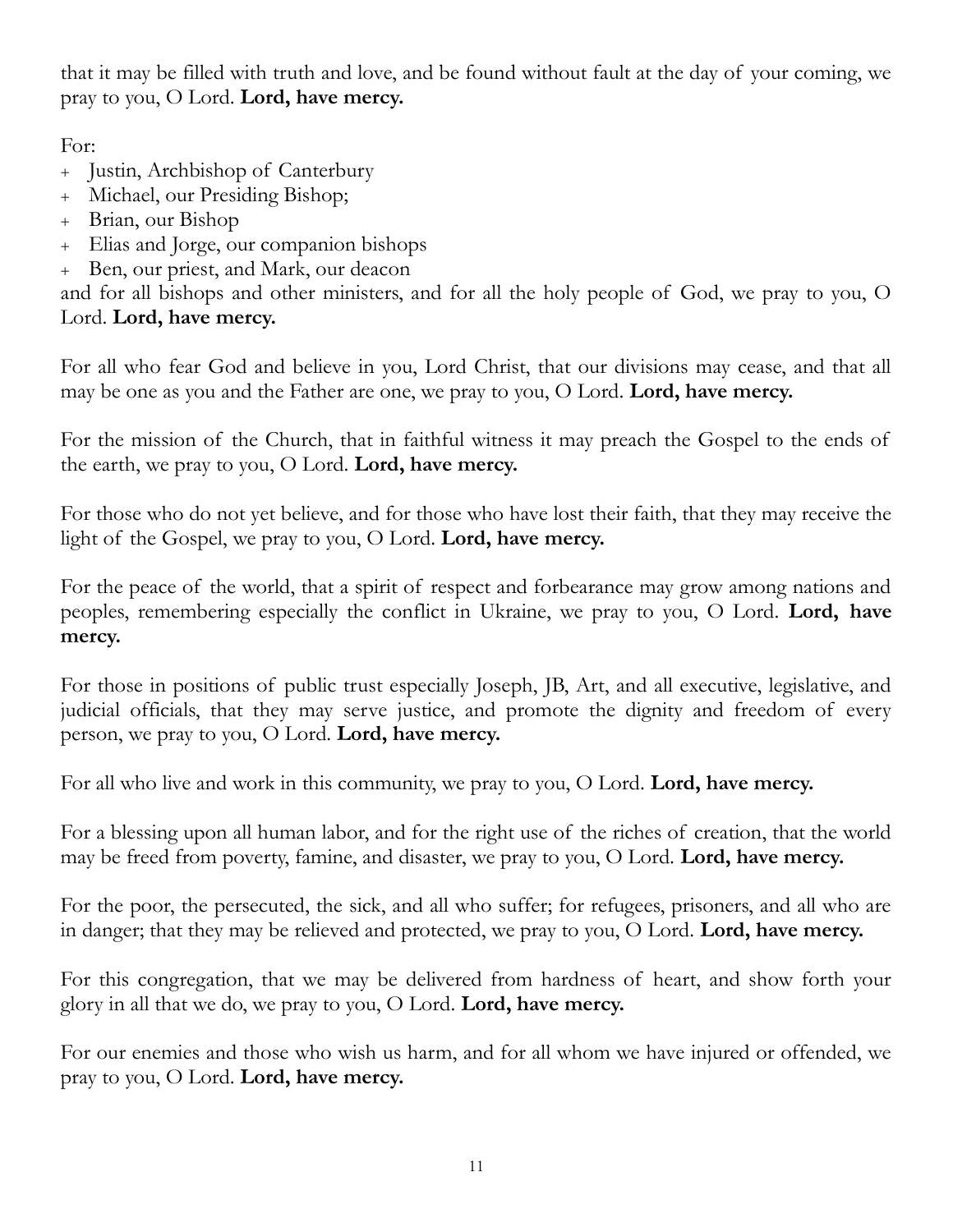that it may be filled with truth and love, and be found without fault at the day of your coming, we pray to you, O Lord. **Lord, have mercy.**

For:

- + Justin, Archbishop of Canterbury
- + Michael, our Presiding Bishop;
- + Brian, our Bishop
- + Elias and Jorge, our companion bishops
- + Ben, our priest, and Mark, our deacon

and for all bishops and other ministers, and for all the holy people of God, we pray to you, O Lord. **Lord, have mercy.**

For all who fear God and believe in you, Lord Christ, that our divisions may cease, and that all may be one as you and the Father are one, we pray to you, O Lord. **Lord, have mercy.**

For the mission of the Church, that in faithful witness it may preach the Gospel to the ends of the earth, we pray to you, O Lord. **Lord, have mercy.**

For those who do not yet believe, and for those who have lost their faith, that they may receive the light of the Gospel, we pray to you, O Lord. **Lord, have mercy.**

For the peace of the world, that a spirit of respect and forbearance may grow among nations and peoples, remembering especially the conflict in Ukraine, we pray to you, O Lord. **Lord, have mercy.**

For those in positions of public trust especially Joseph, JB, Art, and all executive, legislative, and judicial officials, that they may serve justice, and promote the dignity and freedom of every person, we pray to you, O Lord. **Lord, have mercy.**

For all who live and work in this community, we pray to you, O Lord. **Lord, have mercy.**

For a blessing upon all human labor, and for the right use of the riches of creation, that the world may be freed from poverty, famine, and disaster, we pray to you, O Lord. **Lord, have mercy.**

For the poor, the persecuted, the sick, and all who suffer; for refugees, prisoners, and all who are in danger; that they may be relieved and protected, we pray to you, O Lord. **Lord, have mercy.**

For this congregation, that we may be delivered from hardness of heart, and show forth your glory in all that we do, we pray to you, O Lord. **Lord, have mercy.**

For our enemies and those who wish us harm, and for all whom we have injured or offended, we pray to you, O Lord. **Lord, have mercy.**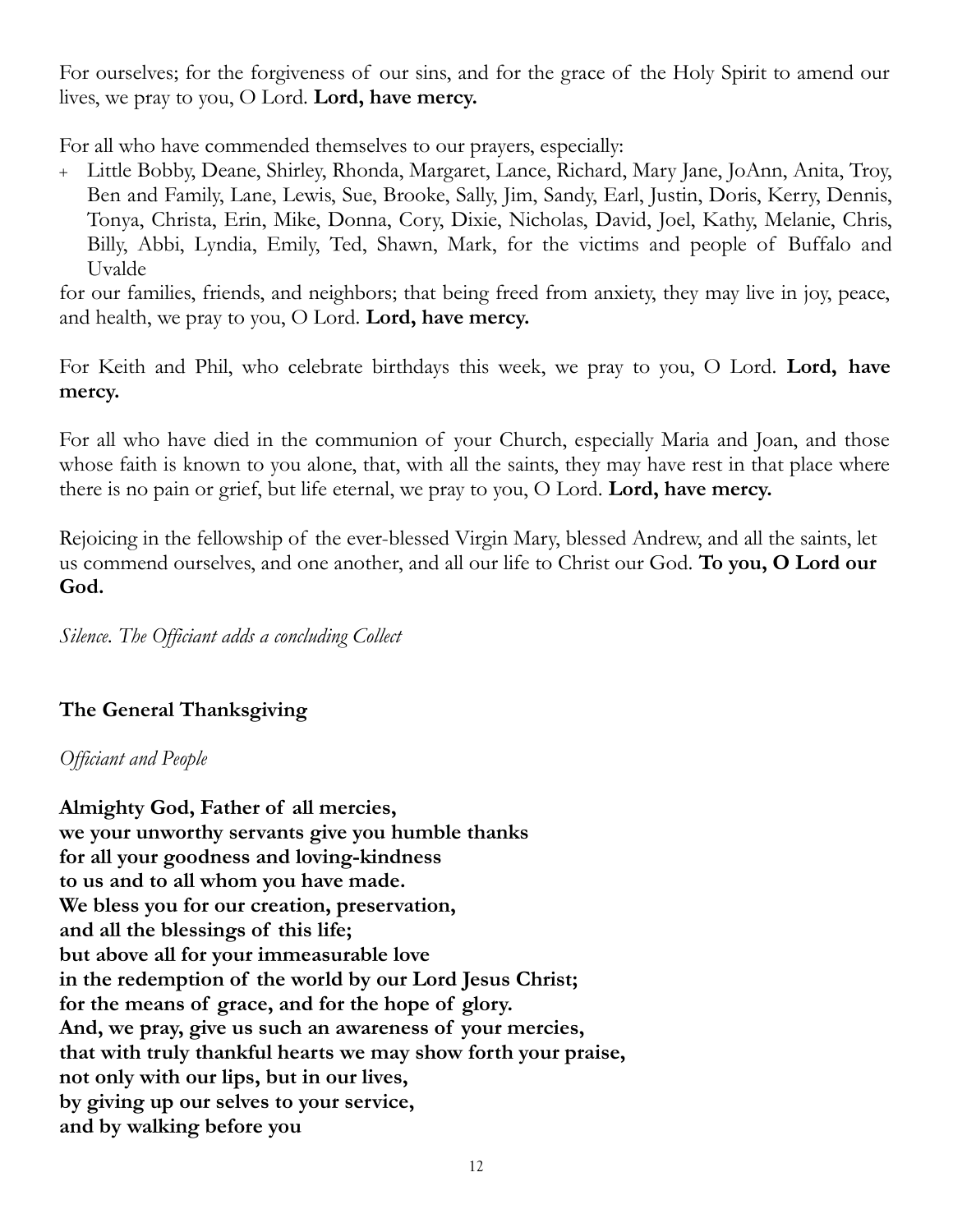For ourselves; for the forgiveness of our sins, and for the grace of the Holy Spirit to amend our lives, we pray to you, O Lord. **Lord, have mercy.**

For all who have commended themselves to our prayers, especially:

+ Little Bobby, Deane, Shirley, Rhonda, Margaret, Lance, Richard, Mary Jane, JoAnn, Anita, Troy, Ben and Family, Lane, Lewis, Sue, Brooke, Sally, Jim, Sandy, Earl, Justin, Doris, Kerry, Dennis, Tonya, Christa, Erin, Mike, Donna, Cory, Dixie, Nicholas, David, Joel, Kathy, Melanie, Chris, Billy, Abbi, Lyndia, Emily, Ted, Shawn, Mark, for the victims and people of Buffalo and Uvalde

for our families, friends, and neighbors; that being freed from anxiety, they may live in joy, peace, and health, we pray to you, O Lord. **Lord, have mercy.**

For Keith and Phil, who celebrate birthdays this week, we pray to you, O Lord. **Lord, have mercy.**

For all who have died in the communion of your Church, especially Maria and Joan, and those whose faith is known to you alone, that, with all the saints, they may have rest in that place where there is no pain or grief, but life eternal, we pray to you, O Lord. **Lord, have mercy.**

Rejoicing in the fellowship of the ever-blessed Virgin Mary, blessed Andrew, and all the saints, let us commend ourselves, and one another, and all our life to Christ our God. **To you, O Lord our God.**

*Silence. The Officiant adds a concluding Collect*

## **The General Thanksgiving**

#### *Officiant and People*

**Almighty God, Father of all mercies, we your unworthy servants give you humble thanks for all your goodness and loving-kindness to us and to all whom you have made. We bless you for our creation, preservation, and all the blessings of this life; but above all for your immeasurable love in the redemption of the world by our Lord Jesus Christ; for the means of grace, and for the hope of glory. And, we pray, give us such an awareness of your mercies, that with truly thankful hearts we may show forth your praise, not only with our lips, but in our lives, by giving up our selves to your service, and by walking before you**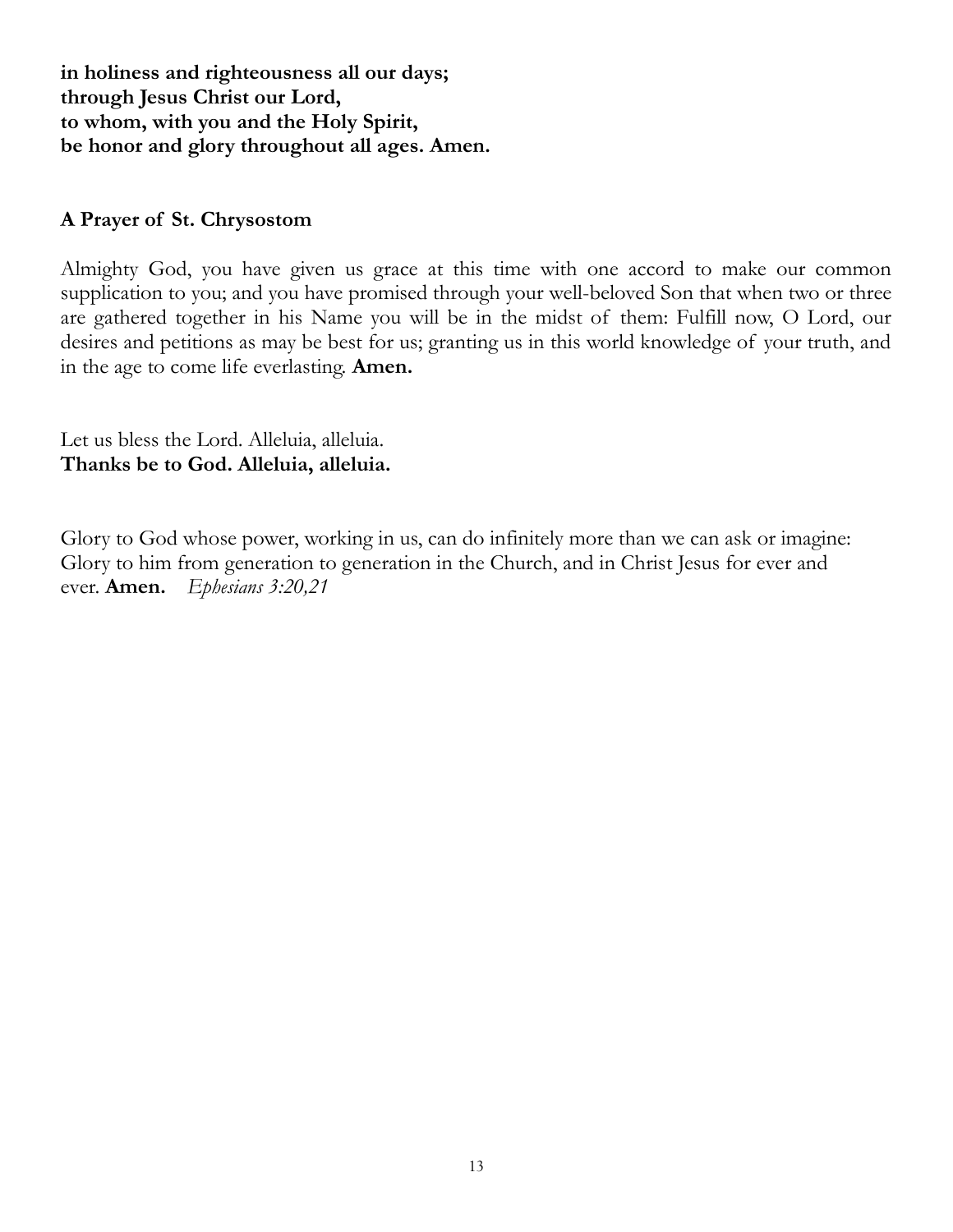**in holiness and righteousness all our days; through Jesus Christ our Lord, to whom, with you and the Holy Spirit, be honor and glory throughout all ages. Amen.**

#### **A Prayer of St. Chrysostom**

Almighty God, you have given us grace at this time with one accord to make our common supplication to you; and you have promised through your well-beloved Son that when two or three are gathered together in his Name you will be in the midst of them: Fulfill now, O Lord, our desires and petitions as may be best for us; granting us in this world knowledge of your truth, and in the age to come life everlasting. **Amen.**

Let us bless the Lord. Alleluia, alleluia. **Thanks be to God. Alleluia, alleluia.**

Glory to God whose power, working in us, can do infinitely more than we can ask or imagine: Glory to him from generation to generation in the Church, and in Christ Jesus for ever and ever. **Amen.** *Ephesians 3:20,21*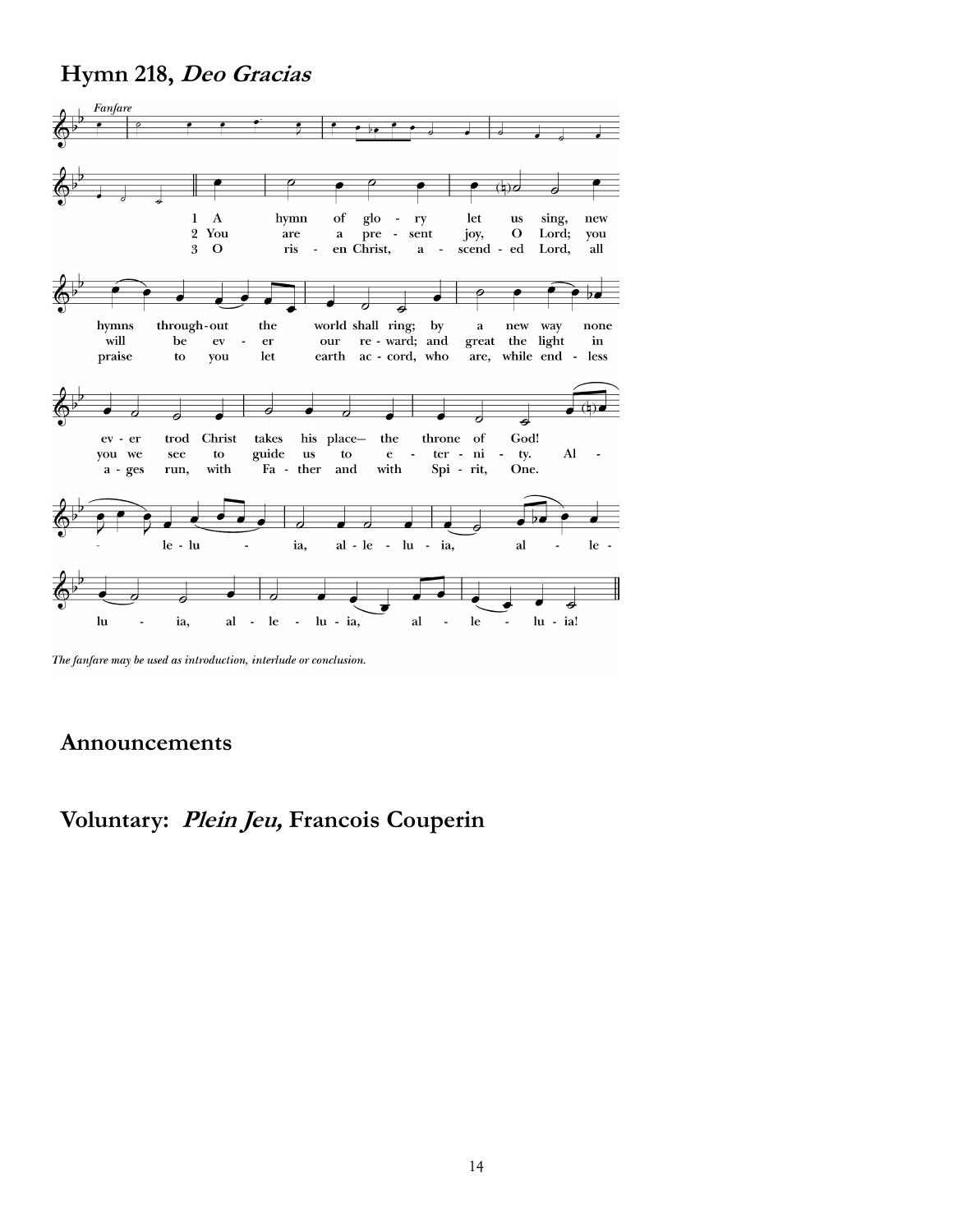# **Hymn 218, Deo Gracias**



The fanfare may be used as introduction, interlude or conclusion.

## **Announcements**

## **Voluntary: Plein Jeu, Francois Couperin**